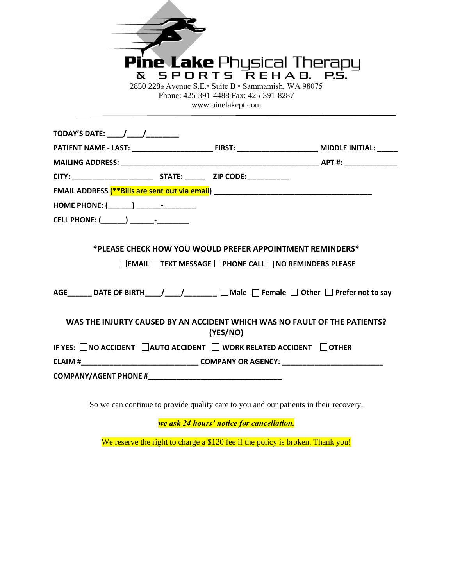| <b>Pine Lake</b> Physical Therapy<br>SPORTS REHAB. PS.<br>δc.<br>2850 228th Avenue S.E. Suite B · Sammamish, WA 98075<br>Phone: 425-391-4488 Fax: 425-391-8287<br>www.pinelakept.com |          |                                                              |
|--------------------------------------------------------------------------------------------------------------------------------------------------------------------------------------|----------|--------------------------------------------------------------|
|                                                                                                                                                                                      |          |                                                              |
|                                                                                                                                                                                      |          |                                                              |
|                                                                                                                                                                                      |          |                                                              |
|                                                                                                                                                                                      |          |                                                              |
| EMAIL ADDRESS (**Bills are sent out via email) __________________________________                                                                                                    |          |                                                              |
|                                                                                                                                                                                      |          |                                                              |
|                                                                                                                                                                                      |          |                                                              |
| *PLEASE CHECK HOW YOU WOULD PREFER APPOINTMENT REMINDERS*                                                                                                                            |          |                                                              |
|                                                                                                                                                                                      |          | <b>EMAIL TEXT MESSAGE FIPHONE CALL TINO REMINDERS PLEASE</b> |
| AGE_______ DATE OF BIRTH____/____/________ □Male □ Female □ Other □ Prefer not to say                                                                                                |          |                                                              |
| WAS THE INJURTY CAUSED BY AN ACCIDENT WHICH WAS NO FAULT OF THE PATIENTS?                                                                                                            | (YES/NO) |                                                              |
| IF YES: □NO ACCIDENT □AUTO ACCIDENT □ WORK RELATED ACCIDENT □ OTHER                                                                                                                  |          |                                                              |
|                                                                                                                                                                                      |          |                                                              |
|                                                                                                                                                                                      |          |                                                              |
|                                                                                                                                                                                      |          |                                                              |

So we can continue to provide quality care to you and our patients in their recovery,

*we ask 24 hours' notice for cancellation.*

We reserve the right to charge a \$120 fee if the policy is broken. Thank you!